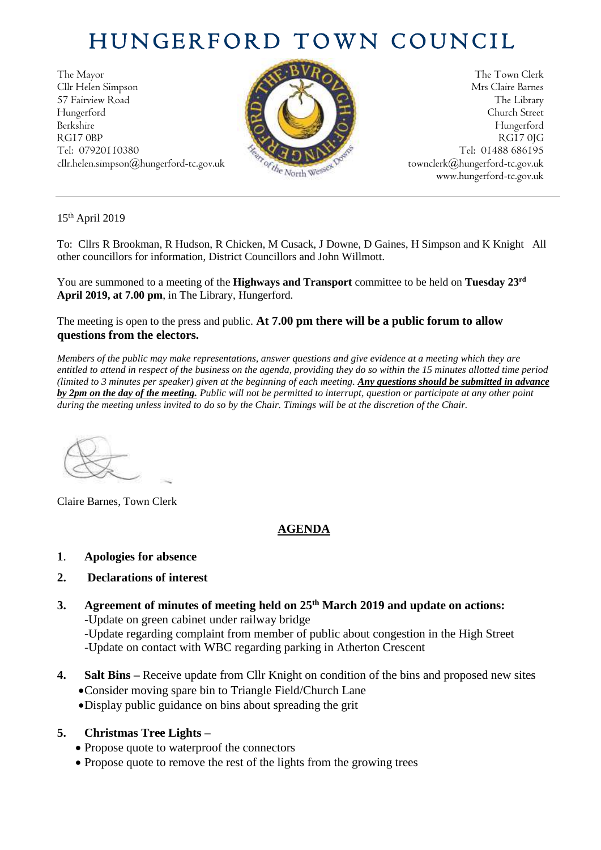## HUNGERFORD TOWN COUNCIL

The Mayor The Town Clerk Cllr Helen Simpson Mrs Claire Barnes 57 Fairview Road The Library (2008) The Library Hungerford Church Street Berkshire Hungerford RG17 0BP RG17 0JG Tel: 07920110380 Tel: 01488 686195



cllr.helen.simpson@hungerford-tc.gov.uk [townclerk@hungerford-tc.gov.uk](mailto:townclerk@hungerford-tc.gov.uk) townclerk@hungerford-tc.gov.uk www.hungerford-tc.gov.uk www.hungerford-tc.gov.uk

15th April 2019

To: Cllrs R Brookman, R Hudson, R Chicken, M Cusack, J Downe, D Gaines, H Simpson and K Knight All other councillors for information, District Councillors and John Willmott.

You are summoned to a meeting of the **Highways and Transport** committee to be held on **Tuesday 23rd April 2019, at 7.00 pm**, in The Library, Hungerford.

The meeting is open to the press and public. **At 7.00 pm there will be a public forum to allow questions from the electors.** 

*Members of the public may make representations, answer questions and give evidence at a meeting which they are entitled to attend in respect of the business on the agenda, providing they do so within the 15 minutes allotted time period (limited to 3 minutes per speaker) given at the beginning of each meeting. Any questions should be submitted in advance by 2pm on the day of the meeting. Public will not be permitted to interrupt, question or participate at any other point during the meeting unless invited to do so by the Chair. Timings will be at the discretion of the Chair.* 

Claire Barnes, Town Clerk

## **AGENDA**

**1**. **Apologies for absence**

## **2. Declarations of interest**

- **3. Agreement of minutes of meeting held on 25 th March 2019 and update on actions:** -Update on green cabinet under railway bridge -Update regarding complaint from member of public about congestion in the High Street -Update on contact with WBC regarding parking in Atherton Crescent
- **4. Salt Bins –** Receive update from Cllr Knight on condition of the bins and proposed new sites •Consider moving spare bin to Triangle Field/Church Lane
	- •Display public guidance on bins about spreading the grit

## **5. Christmas Tree Lights –**

- Propose quote to waterproof the connectors
- Propose quote to remove the rest of the lights from the growing trees